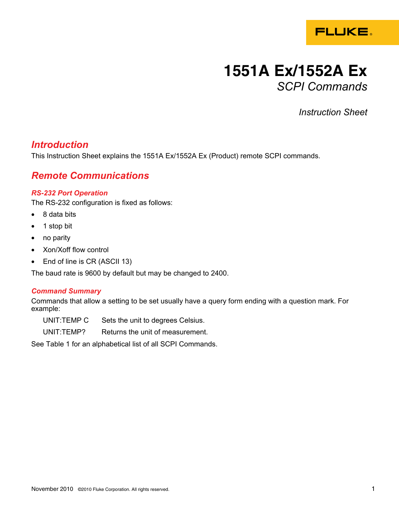

# **1551A Ex/1552A Ex**  *SCPI Commands*

*Instruction Sheet* 

## *Introduction*

This Instruction Sheet explains the 1551A Ex/1552A Ex (Product) remote SCPI commands.

## *Remote Communications*

### *RS-232 Port Operation*

The RS-232 configuration is fixed as follows:

- 8 data bits
- 1 stop bit
- no parity
- Xon/Xoff flow control
- End of line is CR (ASCII 13)

The baud rate is 9600 by default but may be changed to 2400.

### *Command Summary*

Commands that allow a setting to be set usually have a query form ending with a question mark. For example:

UNIT:TEMP C Sets the unit to degrees Celsius.

UNIT:TEMP? Returns the unit of measurement.

See Table 1 for an alphabetical list of all SCPI Commands.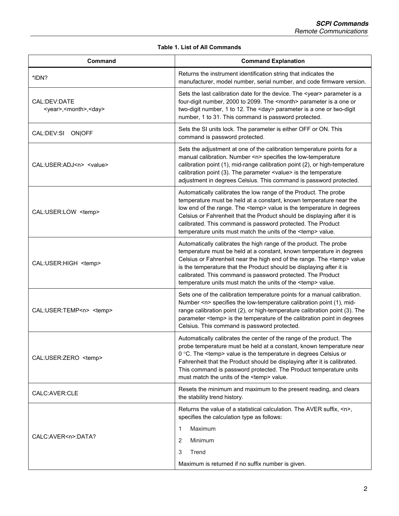#### **Table 1. List of All Commands**

| Command                                                   | <b>Command Explanation</b>                                                                                                                                                                                                                                                                                                                                                                                                                 |
|-----------------------------------------------------------|--------------------------------------------------------------------------------------------------------------------------------------------------------------------------------------------------------------------------------------------------------------------------------------------------------------------------------------------------------------------------------------------------------------------------------------------|
| *IDN?                                                     | Returns the instrument identification string that indicates the<br>manufacturer, model number, serial number, and code firmware version.                                                                                                                                                                                                                                                                                                   |
| CAL:DEV:DATE<br><year>,<month>,<day></day></month></year> | Sets the last calibration date for the device. The <year> parameter is a<br/>four-digit number, 2000 to 2099. The <month> parameter is a one or<br/>two-digit number, 1 to 12. The <day> parameter is a one or two-digit<br/>number, 1 to 31. This command is password protected.</day></month></year>                                                                                                                                     |
| CAL:DEV:SI ON OFF                                         | Sets the SI units lock. The parameter is either OFF or ON. This<br>command is password protected.                                                                                                                                                                                                                                                                                                                                          |
| CAL:USER:ADJ <n> <value></value></n>                      | Sets the adjustment at one of the calibration temperature points for a<br>manual calibration. Number <n> specifies the low-temperature<br/>calibration point (1), mid-range calibration point (2), or high-temperature<br/>calibration point (3). The parameter <value> is the temperature<br/>adjustment in degrees Celsius. This command is password protected.</value></n>                                                              |
| CAL:USER:LOW <temp></temp>                                | Automatically calibrates the low range of the Product. The probe<br>temperature must be held at a constant, known temperature near the<br>low end of the range. The <temp> value is the temperature in degrees<br/>Celsius or Fahrenheit that the Product should be displaying after it is<br/>calibrated. This command is password protected. The Product<br/>temperature units must match the units of the <temp> value.</temp></temp>   |
| CAL:USER:HIGH <temp></temp>                               | Automatically calibrates the high range of the product. The probe<br>temperature must be held at a constant, known temperature in degrees<br>Celsius or Fahrenheit near the high end of the range. The <temp> value<br/>is the temperature that the Product should be displaying after it is<br/>calibrated. This command is password protected. The Product<br/>temperature units must match the units of the <temp> value.</temp></temp> |
| CAL:USER:TEMP <n> <temp></temp></n>                       | Sets one of the calibration temperature points for a manual calibration.<br>Number <n> specifies the low-temperature calibration point (1), mid-<br/>range calibration point (2), or high-temperature calibration point (3). The<br/>parameter <temp> is the temperature of the calibration point in degrees<br/>Celsius. This command is password protected.</temp></n>                                                                   |
| CAL:USER:ZERO <temp></temp>                               | Automatically calibrates the center of the range of the product. The<br>probe temperature must be held at a constant, known temperature near<br>0 °C. The <temp> value is the temperature in degrees Celsius or<br/>Fahrenheit that the Product should be displaying after it is calibrated.<br/>This command is password protected. The Product temperature units<br/>must match the units of the <temp> value.</temp></temp>             |
| CALC: AVER: CLE                                           | Resets the minimum and maximum to the present reading, and clears<br>the stability trend history.                                                                                                                                                                                                                                                                                                                                          |
| CALC:AVER <n>:DATA?</n>                                   | Returns the value of a statistical calculation. The AVER suffix, <n>,<br/>specifies the calculation type as follows:<br/>Maximum<br/>1<br/>Minimum<br/>2<br/>3<br/>Trend<br/>Maximum is returned if no suffix number is given.</n>                                                                                                                                                                                                         |